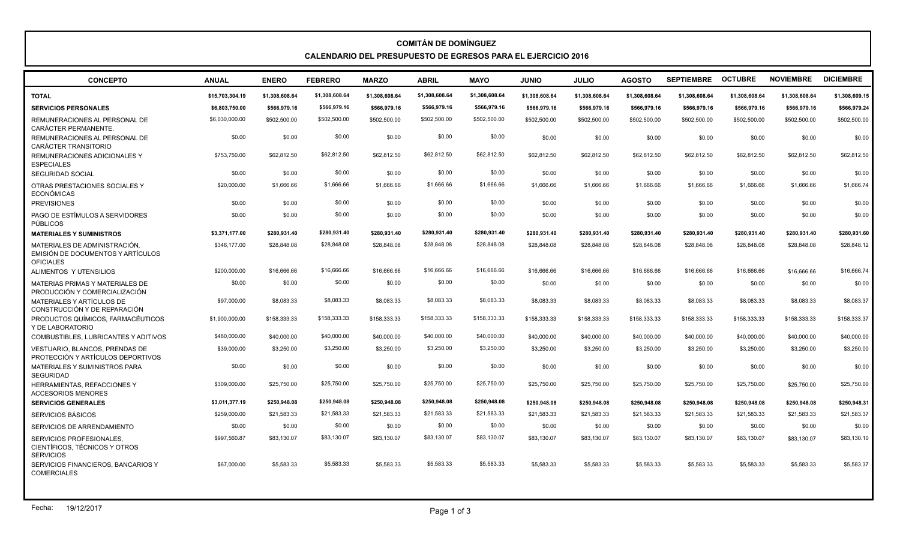## **COMITÁN DE DOMÍNGUEZ CALENDARIO DEL PRESUPUESTO DE EGRESOS PARA EL EJERCICIO 2016**

| <b>CONCEPTO</b>                                                                        | <b>ANUAL</b>    | <b>ENERO</b>   | <b>FEBRERO</b> | <b>MARZO</b>   | <b>ABRIL</b>   | <b>MAYO</b>    | <b>JUNIO</b>   | <b>JULIO</b>   | <b>AGOSTO</b>  | <b>SEPTIEMBRE</b> | <b>OCTUBRE</b> | <b>NOVIEMBRE</b> | <b>DICIEMBRE</b> |
|----------------------------------------------------------------------------------------|-----------------|----------------|----------------|----------------|----------------|----------------|----------------|----------------|----------------|-------------------|----------------|------------------|------------------|
| <b>TOTAL</b>                                                                           | \$15,703,304.19 | \$1.308.608.64 | \$1,308,608.64 | \$1.308.608.64 | \$1,308,608.64 | \$1,308,608.64 | \$1.308.608.64 | \$1.308.608.64 | \$1.308.608.64 | \$1,308,608.64    | \$1,308,608.64 | \$1,308,608.64   | \$1,308,609.15   |
| <b>SERVICIOS PERSONALES</b>                                                            | \$6,803,750.00  | \$566,979.16   | \$566,979.16   | \$566,979.16   | \$566,979.16   | \$566,979.16   | \$566,979.16   | \$566,979.16   | \$566,979.16   | \$566,979.16      | \$566,979.16   | \$566,979.16     | \$566,979.24     |
| REMUNERACIONES AL PERSONAL DE<br>CARÁCTER PERMANENTE.                                  | \$6,030,000.00  | \$502,500.00   | \$502,500.00   | \$502,500.00   | \$502,500.00   | \$502,500.00   | \$502,500.00   | \$502,500.00   | \$502,500.00   | \$502,500.00      | \$502,500.00   | \$502,500.00     | \$502,500.00     |
| REMUNERACIONES AL PERSONAL DE<br><b>CARÁCTER TRANSITORIO</b>                           | \$0.00          | \$0.00         | \$0.00         | \$0.00         | \$0.00         | \$0.00         | \$0.00         | \$0.00         | \$0.00         | \$0.00            | \$0.00         | \$0.00           | \$0.00           |
| REMUNERACIONES ADICIONALES Y<br><b>ESPECIALES</b>                                      | \$753.750.00    | \$62,812.50    | \$62,812.50    | \$62.812.50    | \$62,812.50    | \$62,812.50    | \$62,812.50    | \$62,812.50    | \$62,812.50    | \$62.812.50       | \$62,812.50    | \$62,812.50      | \$62,812.50      |
| <b>SEGURIDAD SOCIAL</b>                                                                | \$0.00          | \$0.00         | \$0.00         | \$0.00         | \$0.00         | \$0.00         | \$0.00         | \$0.00         | \$0.00         | \$0.00            | \$0.00         | \$0.00           | \$0.00           |
| OTRAS PRESTACIONES SOCIALES Y<br><b>ECONÓMICAS</b>                                     | \$20,000.00     | \$1,666.66     | \$1,666.66     | \$1,666.66     | \$1,666.66     | \$1,666.66     | \$1,666.66     | \$1,666.66     | \$1,666.66     | \$1,666.66        | \$1,666.66     | \$1,666.66       | \$1,666.74       |
| <b>PREVISIONES</b>                                                                     | \$0.00          | \$0.00         | \$0.00         | \$0.00         | \$0.00         | \$0.00         | \$0.00         | \$0.00         | \$0.00         | \$0.00            | \$0.00         | \$0.00           | \$0.00           |
| PAGO DE ESTÍMULOS A SERVIDORES<br><b>PÚBLICOS</b>                                      | \$0.00          | \$0.00         | \$0.00         | \$0.00         | \$0.00         | \$0.00         | \$0.00         | \$0.00         | \$0.00         | \$0.00            | \$0.00         | \$0.00           | \$0.00           |
| <b>MATERIALES Y SUMINISTROS</b>                                                        | \$3.371.177.00  | \$280.931.40   | \$280.931.40   | \$280.931.40   | \$280.931.40   | \$280.931.40   | \$280.931.40   | \$280,931.40   | \$280,931.40   | \$280,931.40      | \$280,931.40   | \$280.931.40     | \$280,931.60     |
| MATERIALES DE ADMINISTRACIÓN.<br>EMISIÓN DE DOCUMENTOS Y ARTÍCULOS<br><b>OFICIALES</b> | \$346,177.00    | \$28,848,08    | \$28,848.08    | \$28,848.08    | \$28,848.08    | \$28,848.08    | \$28,848.08    | \$28,848,08    | \$28,848.08    | \$28.848.08       | \$28,848.08    | \$28,848,08      | \$28,848.12      |
| ALIMENTOS Y UTENSILIOS                                                                 | \$200,000,00    | \$16,666,66    | \$16,666.66    | \$16,666.66    | \$16,666.66    | \$16,666,66    | \$16,666,66    | \$16,666,66    | \$16,666.66    | \$16,666.66       | \$16,666,66    | \$16,666,66      | \$16,666,74      |
| MATERIAS PRIMAS Y MATERIALES DE<br>PRODUCCIÓN Y COMERCIALIZACIÓN                       | \$0.00          | \$0.00         | \$0.00         | \$0.00         | \$0.00         | \$0.00         | \$0.00         | \$0.00         | \$0.00         | \$0.00            | \$0.00         | \$0.00           | \$0.00           |
| MATERIALES Y ARTÍCULOS DE<br>CONSTRUCCIÓN Y DE REPARACIÓN                              | \$97,000.00     | \$8,083,33     | \$8,083.33     | \$8.083.33     | \$8,083.33     | \$8,083.33     | \$8,083.33     | \$8,083,33     | \$8,083.33     | \$8.083.33        | \$8,083.33     | \$8,083,33       | \$8,083.37       |
| PRODUCTOS QUÍMICOS, FARMACÉUTICOS<br>Y DE LABORATORIO                                  | \$1,900,000.00  | \$158,333.33   | \$158,333.33   | \$158,333,33   | \$158,333.33   | \$158,333.33   | \$158,333,33   | \$158,333,33   | \$158.333.33   | \$158.333.33      | \$158,333.33   | \$158,333,33     | \$158,333.37     |
| COMBUSTIBLES, LUBRICANTES Y ADITIVOS                                                   | \$480,000.00    | \$40,000.00    | \$40,000.00    | \$40,000.00    | \$40,000.00    | \$40,000.00    | \$40,000.00    | \$40,000.00    | \$40,000.00    | \$40,000.00       | \$40,000.00    | \$40,000.00      | \$40,000.00      |
| <b>VESTUARIO. BLANCOS. PRENDAS DE</b><br>PROTECCIÓN Y ARTÍCULOS DEPORTIVOS             | \$39,000.00     | \$3,250.00     | \$3,250.00     | \$3.250.00     | \$3,250.00     | \$3,250.00     | \$3,250.00     | \$3,250.00     | \$3,250.00     | \$3,250.00        | \$3,250,00     | \$3,250.00       | \$3,250.00       |
| MATERIALES Y SUMINISTROS PARA<br><b>SEGURIDAD</b>                                      | \$0.00          | \$0.00         | \$0.00         | \$0.00         | \$0.00         | \$0.00         | \$0.00         | \$0.00         | \$0.00         | \$0.00            | \$0.00         | \$0.00           | \$0.00           |
| HERRAMIENTAS, REFACCIONES Y<br><b>ACCESORIOS MENORES</b>                               | \$309,000.00    | \$25,750,00    | \$25,750.00    | \$25,750.00    | \$25,750.00    | \$25,750.00    | \$25,750.00    | \$25,750.00    | \$25,750.00    | \$25,750.00       | \$25,750.00    | \$25,750.00      | \$25,750.00      |
| <b>SERVICIOS GENERALES</b>                                                             | \$3,011,377.19  | \$250,948.08   | \$250,948.08   | \$250,948.08   | \$250,948.08   | \$250,948.08   | \$250.948.08   | \$250,948.08   | \$250,948.08   | \$250,948.08      | \$250,948.08   | \$250.948.08     | \$250,948.31     |
| <b>SERVICIOS BÁSICOS</b>                                                               | \$259,000.00    | \$21,583.33    | \$21,583.33    | \$21,583.33    | \$21,583.33    | \$21,583.33    | \$21,583.33    | \$21,583.33    | \$21,583.33    | \$21,583.33       | \$21,583.33    | \$21,583.33      | \$21,583.37      |
| SERVICIOS DE ARRENDAMIENTO                                                             | \$0.00          | \$0.00         | \$0.00         | \$0.00         | \$0.00         | \$0.00         | \$0.00         | \$0.00         | \$0.00         | \$0.00            | \$0.00         | \$0.00           | \$0.00           |
| SERVICIOS PROFESIONALES.<br>CIENTÍFICOS, TÉCNICOS Y OTROS<br><b>SERVICIOS</b>          | \$997,560.87    | \$83,130.07    | \$83,130.07    | \$83.130.07    | \$83,130.07    | \$83,130.07    | \$83,130.07    | \$83,130.07    | \$83,130.07    | \$83,130.07       | \$83,130.07    | \$83,130.07      | \$83,130.10      |
| SERVICIOS FINANCIEROS, BANCARIOS Y<br><b>COMERCIALES</b>                               | \$67,000.00     | \$5,583,33     | \$5,583.33     | \$5.583.33     | \$5,583.33     | \$5,583,33     | \$5,583,33     | \$5.583.33     | \$5.583.33     | \$5.583.33        | \$5,583,33     | \$5,583,33       | \$5,583,37       |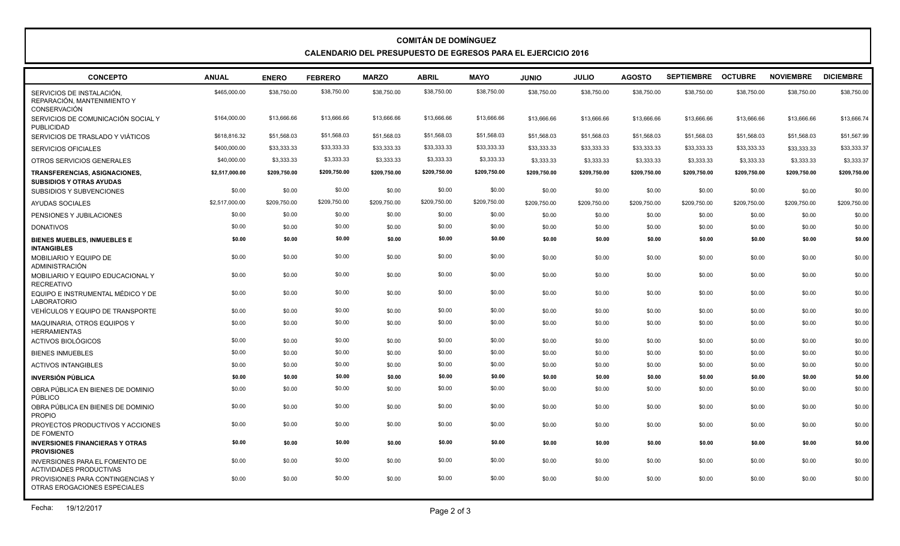## **COMITÁN DE DOMÍNGUEZ CALENDARIO DEL PRESUPUESTO DE EGRESOS PARA EL EJERCICIO 2016**

| <b>CONCEPTO</b>                                                                 | <b>ANUAL</b>   | <b>ENERO</b> | <b>FEBRERO</b> | <b>MARZO</b> | <b>ABRIL</b> | <b>MAYO</b>  | <b>JUNIO</b> | <b>JULIO</b> | <b>AGOSTO</b> | <b>SEPTIEMBRE</b> | <b>OCTUBRE</b> | <b>NOVIEMBRE</b> | <b>DICIEMBRE</b> |
|---------------------------------------------------------------------------------|----------------|--------------|----------------|--------------|--------------|--------------|--------------|--------------|---------------|-------------------|----------------|------------------|------------------|
| SERVICIOS DE INSTALACIÓN.<br>REPARACIÓN, MANTENIMIENTO Y<br><b>CONSERVACIÓN</b> | \$465,000.00   | \$38,750.00  | \$38,750.00    | \$38,750.00  | \$38,750.00  | \$38,750.00  | \$38,750.00  | \$38,750.00  | \$38,750.00   | \$38,750.00       | \$38,750.00    | \$38,750.00      | \$38,750.00      |
| SERVICIOS DE COMUNICACIÓN SOCIAL Y<br><b>PUBLICIDAD</b>                         | \$164,000.00   | \$13,666.66  | \$13,666.66    | \$13,666,66  | \$13,666.66  | \$13,666.66  | \$13,666.66  | \$13,666.66  | \$13,666.66   | \$13,666.66       | \$13,666.66    | \$13,666.66      | \$13,666.74      |
| SERVICIOS DE TRASLADO Y VIÁTICOS                                                | \$618,816.32   | \$51,568.03  | \$51,568.03    | \$51,568.03  | \$51,568.03  | \$51,568.03  | \$51,568.03  | \$51,568.03  | \$51,568.03   | \$51,568.03       | \$51,568.03    | \$51,568.03      | \$51,567.99      |
| <b>SERVICIOS OFICIALES</b>                                                      | \$400,000.00   | \$33,333.33  | \$33,333.33    | \$33.333.33  | \$33,333.33  | \$33,333.33  | \$33,333,33  | \$33.333.33  | \$33,333,33   | \$33.333.33       | \$33,333.33    | \$33.333.33      | \$33,333.37      |
| OTROS SERVICIOS GENERALES                                                       | \$40,000.00    | \$3,333.33   | \$3,333.33     | \$3,333.33   | \$3,333.33   | \$3,333.33   | \$3,333.33   | \$3,333.33   | \$3,333.33    | \$3,333.33        | \$3,333.33     | \$3,333.33       | \$3,333.37       |
| TRANSFERENCIAS, ASIGNACIONES,<br><b>SUBSIDIOS Y OTRAS AYUDAS</b>                | \$2,517,000.00 | \$209,750.00 | \$209,750.00   | \$209,750.00 | \$209,750.00 | \$209,750.00 | \$209,750.00 | \$209,750.00 | \$209,750.00  | \$209,750.00      | \$209,750.00   | \$209,750.00     | \$209,750.00     |
| <b>SUBSIDIOS Y SUBVENCIONES</b>                                                 | \$0.00         | \$0.00       | \$0.00         | \$0.00       | \$0.00       | \$0.00       | \$0.00       | \$0.00       | \$0.00        | \$0.00            | \$0.00         | \$0.00           | \$0.00           |
| AYUDAS SOCIALES                                                                 | \$2,517,000.00 | \$209.750.00 | \$209,750.00   | \$209,750.00 | \$209,750.00 | \$209,750.00 | \$209.750.00 | \$209,750.00 | \$209,750.00  | \$209.750.00      | \$209,750.00   | \$209.750.00     | \$209,750.00     |
| PENSIONES Y JUBILACIONES                                                        | \$0.00         | \$0.00       | \$0.00         | \$0.00       | \$0.00       | \$0.00       | \$0.00       | \$0.00       | \$0.00        | \$0.00            | \$0.00         | \$0.00           | \$0.00           |
| <b>DONATIVOS</b>                                                                | \$0.00         | \$0.00       | \$0.00         | \$0.00       | \$0.00       | \$0.00       | \$0.00       | \$0.00       | \$0.00        | \$0.00            | \$0.00         | \$0.00           | \$0.00           |
| <b>BIENES MUEBLES, INMUEBLES E</b><br><b>INTANGIBLES</b>                        | \$0.00         | \$0.00       | \$0.00         | \$0.00       | \$0.00       | \$0.00       | \$0.00       | \$0.00       | \$0.00        | \$0.00            | \$0.00         | \$0.00           | \$0.00           |
| MOBILIARIO Y EQUIPO DE<br>ADMINISTRACIÓN                                        | \$0.00         | \$0.00       | \$0.00         | \$0.00       | \$0.00       | \$0.00       | \$0.00       | \$0.00       | \$0.00        | \$0.00            | \$0.00         | \$0.00           | \$0.00           |
| MOBILIARIO Y EQUIPO EDUCACIONAL Y<br><b>RECREATIVO</b>                          | \$0.00         | \$0.00       | \$0.00         | \$0.00       | \$0.00       | \$0.00       | \$0.00       | \$0.00       | \$0.00        | \$0.00            | \$0.00         | \$0.00           | \$0.00           |
| EQUIPO E INSTRUMENTAL MÉDICO Y DE<br><b>LABORATORIO</b>                         | \$0.00         | \$0.00       | \$0.00         | \$0.00       | \$0.00       | \$0.00       | \$0.00       | \$0.00       | \$0.00        | \$0.00            | \$0.00         | \$0.00           | \$0.00           |
| VEHÍCULOS Y EQUIPO DE TRANSPORTE                                                | \$0.00         | \$0.00       | \$0.00         | \$0.00       | \$0.00       | \$0.00       | \$0.00       | \$0.00       | \$0.00        | \$0.00            | \$0.00         | \$0.00           | \$0.00           |
| MAQUINARIA, OTROS EQUIPOS Y<br><b>HERRAMIENTAS</b>                              | \$0.00         | \$0.00       | \$0.00         | \$0.00       | \$0.00       | \$0.00       | \$0.00       | \$0.00       | \$0.00        | \$0.00            | \$0.00         | \$0.00           | \$0.00           |
| <b>ACTIVOS BIOLÓGICOS</b>                                                       | \$0.00         | \$0.00       | \$0.00         | \$0.00       | \$0.00       | \$0.00       | \$0.00       | \$0.00       | \$0.00        | \$0.00            | \$0.00         | \$0.00           | \$0.00           |
| <b>BIENES INMUEBLES</b>                                                         | \$0.00         | \$0.00       | \$0.00         | \$0.00       | \$0.00       | \$0.00       | \$0.00       | \$0.00       | \$0.00        | \$0.00            | \$0.00         | \$0.00           | \$0.00           |
| <b>ACTIVOS INTANGIBLES</b>                                                      | \$0.00         | \$0.00       | \$0.00         | \$0.00       | \$0.00       | \$0.00       | \$0.00       | \$0.00       | \$0.00        | \$0.00            | \$0.00         | \$0.00           | \$0.00           |
| <b>INVERSIÓN PÚBLICA</b>                                                        | \$0.00         | \$0.00       | \$0.00         | \$0.00       | \$0.00       | \$0.00       | \$0.00       | \$0.00       | \$0.00        | \$0.00            | \$0.00         | \$0.00           | \$0.00           |
| OBRA PÚBLICA EN BIENES DE DOMINIO<br>PÚBLICO                                    | \$0.00         | \$0.00       | \$0.00         | \$0.00       | \$0.00       | \$0.00       | \$0.00       | \$0.00       | \$0.00        | \$0.00            | \$0.00         | \$0.00           | \$0.00           |
| OBRA PÚBLICA EN BIENES DE DOMINIO<br><b>PROPIO</b>                              | \$0.00         | \$0.00       | \$0.00         | \$0.00       | \$0.00       | \$0.00       | \$0.00       | \$0.00       | \$0.00        | \$0.00            | \$0.00         | \$0.00           | \$0.00           |
| PROYECTOS PRODUCTIVOS Y ACCIONES<br>DE FOMENTO                                  | \$0.00         | \$0.00       | \$0.00         | \$0.00       | \$0.00       | \$0.00       | \$0.00       | \$0.00       | \$0.00        | \$0.00            | \$0.00         | \$0.00           | \$0.00           |
| <b>INVERSIONES FINANCIERAS Y OTRAS</b><br><b>PROVISIONES</b>                    | \$0.00         | \$0.00       | \$0.00         | \$0.00       | \$0.00       | \$0.00       | \$0.00       | \$0.00       | \$0.00        | \$0.00            | \$0.00         | \$0.00           | \$0.00           |
| INVERSIONES PARA EL FOMENTO DE<br><b>ACTIVIDADES PRODUCTIVAS</b>                | \$0.00         | \$0.00       | \$0.00         | \$0.00       | \$0.00       | \$0.00       | \$0.00       | \$0.00       | \$0.00        | \$0.00            | \$0.00         | \$0.00           | \$0.00           |
| PROVISIONES PARA CONTINGENCIAS Y<br>OTRAS EROGACIONES ESPECIALES                | \$0.00         | \$0.00       | \$0.00         | \$0.00       | \$0.00       | \$0.00       | \$0.00       | \$0.00       | \$0.00        | \$0.00            | \$0.00         | \$0.00           | \$0.00           |